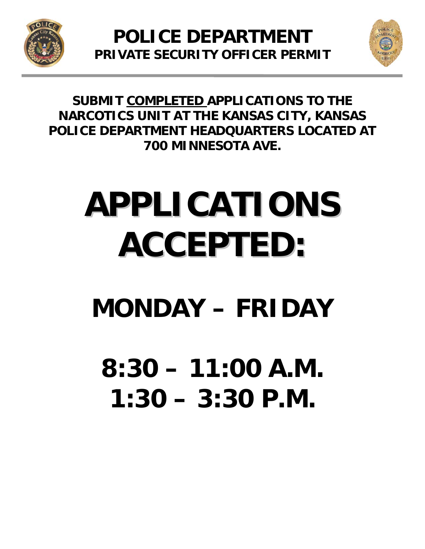

**POLICE DEPARTMENT PRIVATE SECURITY OFFICER PERMIT**



**SUBMIT COMPLETED APPLICATIONS TO THE NARCOTICS UNIT AT THE KANSAS CITY, KANSAS POLICE DEPARTMENT HEADQUARTERS LOCATED AT 700 MINNESOTA AVE.**

# **APPLICATIONS ACCEPTED:**

# **MONDAY – FRIDAY**

**8:30 – 11:00 A.M. 1:30 – 3:30 P.M.**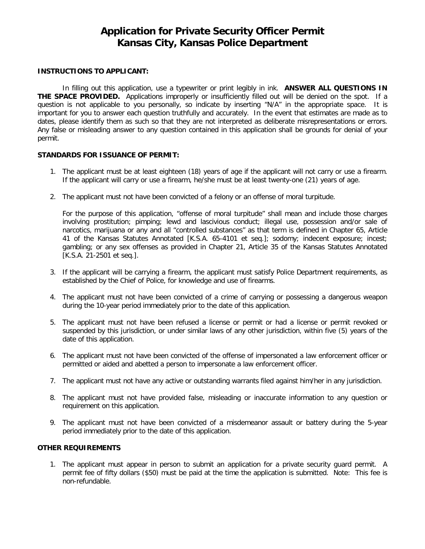### **Application for Private Security Officer Permit Kansas City, Kansas Police Department**

#### **INSTRUCTIONS TO APPLICANT:**

In filling out this application, use a typewriter or print legibly in ink. **ANSWER ALL QUESTIONS IN THE SPACE PROVIDED.** Applications improperly or insufficiently filled out will be denied on the spot. If a question is not applicable to you personally, so indicate by inserting "N/A" in the appropriate space. It is important for you to answer each question truthfully and accurately. In the event that estimates are made as to dates, please identify them as such so that they are not interpreted as deliberate misrepresentations or errors. Any false or misleading answer to any question contained in this application shall be grounds for denial of your permit.

#### **STANDARDS FOR ISSUANCE OF PERMIT:**

- 1. The applicant must be at least eighteen (18) years of age if the applicant will not carry or use a firearm. If the applicant will carry or use a firearm, he/she must be at least twenty-one (21) years of age.
- 2. The applicant must not have been convicted of a felony or an offense of moral turpitude.

For the purpose of this application, "offense of moral turpitude" shall mean and include those charges involving prostitution; pimping; lewd and lascivious conduct; illegal use, possession and/or sale of narcotics, marijuana or any and all "controlled substances" as that term is defined in Chapter 65, Article 41 of the Kansas Statutes Annotated [K.S.A. 65-4101 et seq.]; sodomy; indecent exposure; incest; gambling; or any sex offenses as provided in Chapter 21, Article 35 of the Kansas Statutes Annotated [K.S.A. 21-2501 et seq.].

- 3. If the applicant will be carrying a firearm, the applicant must satisfy Police Department requirements, as established by the Chief of Police, for knowledge and use of firearms.
- 4. The applicant must not have been convicted of a crime of carrying or possessing a dangerous weapon during the 10-year period immediately prior to the date of this application.
- 5. The applicant must not have been refused a license or permit or had a license or permit revoked or suspended by this jurisdiction, or under similar laws of any other jurisdiction, within five (5) years of the date of this application.
- 6. The applicant must not have been convicted of the offense of impersonated a law enforcement officer or permitted or aided and abetted a person to impersonate a law enforcement officer.
- 7. The applicant must not have any active or outstanding warrants filed against him/her in any jurisdiction.
- 8. The applicant must not have provided false, misleading or inaccurate information to any question or requirement on this application.
- 9. The applicant must not have been convicted of a misdemeanor assault or battery during the 5-year period immediately prior to the date of this application.

#### **OTHER REQUIREMENTS**

1. The applicant must appear in person to submit an application for a private security guard permit. A permit fee of fifty dollars (\$50) must be paid at the time the application is submitted. Note: This fee is non-refundable.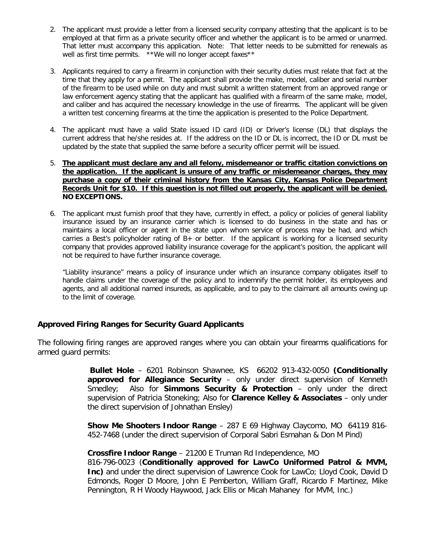- 2. The applicant must provide a letter from a licensed security company attesting that the applicant is to be employed at that firm as a private security officer and whether the applicant is to be armed or unarmed. That letter must accompany this application. Note: That letter needs to be submitted for renewals as well as first time permits. \*\*We will no longer accept faxes\*\*
- 3. Applicants required to carry a firearm in conjunction with their security duties must relate that fact at the time that they apply for a permit. The applicant shall provide the make, model, caliber and serial number of the firearm to be used while on duty and must submit a written statement from an approved range or law enforcement agency stating that the applicant has qualified with a firearm of the same make, model, and caliber and has acquired the necessary knowledge in the use of firearms. The applicant will be given a written test concerning firearms at the time the application is presented to the Police Department.
- 4. The applicant must have a valid State issued ID card (ID) or Driver's license (DL) that displays the current address that he/she resides at. If the address on the ID or DL is incorrect, the ID or DL must be updated by the state that supplied the same before a security officer permit will be issued.
- 5. **The applicant must declare any and all felony, misdemeanor or traffic citation convictions on the application. If the applicant is unsure of any traffic or misdemeanor charges, they may purchase a copy of their criminal history from the Kansas City, Kansas Police Department Records Unit for \$10. If this question is not filled out properly, the applicant will be denied. NO EXCEPTIONS.**
- 6. The applicant must furnish proof that they have, currently in effect, a policy or policies of general liability insurance issued by an insurance carrier which is licensed to do business in the state and has or maintains a local officer or agent in the state upon whom service of process may be had, and which carries a Best's policyholder rating of B+ or better. If the applicant is working for a licensed security company that provides approved liability insurance coverage for the applicant's position, the applicant will not be required to have further insurance coverage.

"Liability insurance" means a policy of insurance under which an insurance company obligates itself to handle claims under the coverage of the policy and to indemnify the permit holder, its employees and agents, and all additional named insureds, as applicable, and to pay to the claimant all amounts owing up to the limit of coverage.

#### **Approved Firing Ranges for Security Guard Applicants**

The following firing ranges are approved ranges where you can obtain your firearms qualifications for armed guard permits:

> **Bullet Hole** – 6201 Robinson Shawnee, KS 66202 913-432-0050 **(Conditionally approved for Allegiance Security** – only under direct supervision of Kenneth Smedley; Also for **Simmons Security & Protection** – only under the direct supervision of Patricia Stoneking; Also for **Clarence Kelley & Associates** – only under the direct supervision of Johnathan Ensley)

> **Show Me Shooters Indoor Range** – 287 E 69 Highway Claycomo, MO 64119 816- 452-7468 (under the direct supervision of Corporal Sabri Esmahan & Don M Pind)

> **Crossfire Indoor Range** – 21200 E Truman Rd Independence, MO 816-796-0023 (**Conditionally approved for LawCo Uniformed Patrol & MVM, Inc)** and under the direct supervision of Lawrence Cook for LawCo; Lloyd Cook, David D Edmonds, Roger D Moore, John E Pemberton, William Graff, Ricardo F Martinez, Mike Pennington, R H Woody Haywood, Jack Ellis or Micah Mahaney for MVM, Inc.)